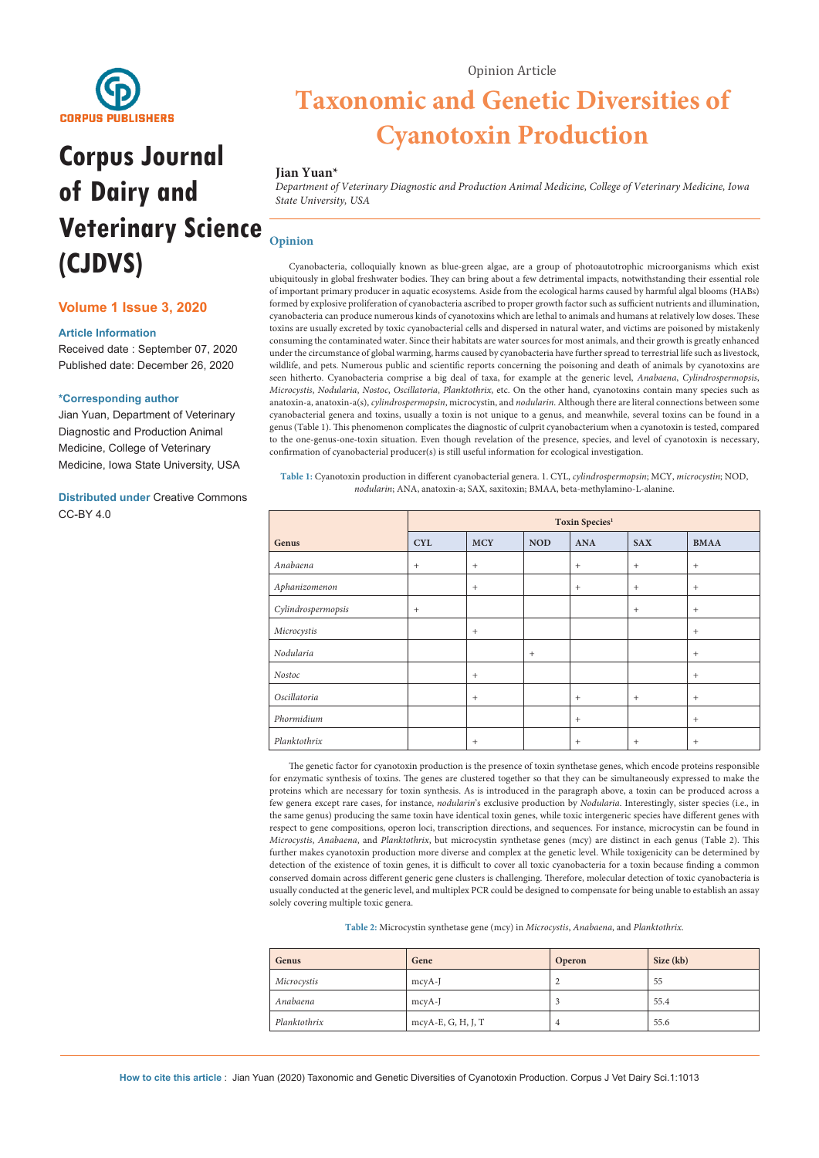

# **Corpus Journal of Dairy and Veterinary Science (CJDVS)**

#### **Volume 1 Issue 3, 2020**

#### **Article Information**

Received date : September 07, 2020 Published date: December 26, 2020

#### **\*Corresponding author**

Jian Yuan, Department of Veterinary Diagnostic and Production Animal Medicine, College of Veterinary Medicine, Iowa State University, USA

**Distributed under** [Creative Commons](https://creativecommons.org/licenses/by/4.0/)  [CC-BY 4.0](https://creativecommons.org/licenses/by/4.0/)

## **Taxonomic and Genetic Diversities of Cyanotoxin Production**

#### **Jian Yuan\***

*Department of Veterinary Diagnostic and Production Animal Medicine, College of Veterinary Medicine, Iowa State University, USA*

### **Opinion**

Cyanobacteria, colloquially known as blue-green algae, are a group of photoautotrophic microorganisms which exist ubiquitously in global freshwater bodies. They can bring about a few detrimental impacts, notwithstanding their essential role of important primary producer in aquatic ecosystems. Aside from the ecological harms caused by harmful algal blooms (HABs) formed by explosive proliferation of cyanobacteria ascribed to proper growth factor such as sufficient nutrients and illumination, cyanobacteria can produce numerous kinds of cyanotoxins which are lethal to animals and humans at relatively low doses. These toxins are usually excreted by toxic cyanobacterial cells and dispersed in natural water, and victims are poisoned by mistakenly consuming the contaminated water. Since their habitats are water sources for most animals, and their growth is greatly enhanced under the circumstance of global warming, harms caused by cyanobacteria have further spread to terrestrial life such as livestock, wildlife, and pets. Numerous public and scientific reports concerning the poisoning and death of animals by cyanotoxins are seen hitherto. Cyanobacteria comprise a big deal of taxa, for example at the generic level, *Anabaena*, *Cylindrospermopsis*, *Microcystis*, *Nodularia*, *Nostoc*, *Oscillatoria*, *Planktothrix*, etc. On the other hand, cyanotoxins contain many species such as anatoxin-a, anatoxin-a(s), *cylindrospermopsin*, microcystin, and *nodularin*. Although there are literal connections between some cyanobacterial genera and toxins, usually a toxin is not unique to a genus, and meanwhile, several toxins can be found in a genus (Table 1). This phenomenon complicates the diagnostic of culprit cyanobacterium when a cyanotoxin is tested, compared to the one-genus-one-toxin situation. Even though revelation of the presence, species, and level of cyanotoxin is necessary, confirmation of cyanobacterial producer(s) is still useful information for ecological investigation.

**Table 1:** Cyanotoxin production in different cyanobacterial genera. 1. CYL, *cylindrospermopsin*; MCY, *microcystin*; NOD, *nodularin*; ANA, anatoxin-a; SAX, saxitoxin; BMAA, beta-methylamino-L-alanine.

|                    | Toxin Species <sup>1</sup> |            |            |            |            |             |
|--------------------|----------------------------|------------|------------|------------|------------|-------------|
| Genus              | <b>CYL</b>                 | <b>MCY</b> | <b>NOD</b> | <b>ANA</b> | <b>SAX</b> | <b>BMAA</b> |
| Anabaena           | $+$                        | $^{+}$     |            | $+$        | $+$        | $+$         |
| Aphanizomenon      |                            | $+$        |            | $+$        | $+$        | $+$         |
| Cylindrospermopsis | $+$                        |            |            |            | $+$        | $+$         |
| Microcystis        |                            | $+$        |            |            |            | $+$         |
| Nodularia          |                            |            | $+$        |            |            | $^{+}$      |
| Nostoc             |                            | $+$        |            |            |            | $+$         |
| Oscillatoria       |                            | $+$        |            | $+$        | $+$        | $^{+}$      |
| Phormidium         |                            |            |            | $+$        |            | $+$         |
| Planktothrix       |                            | $+$        |            | $+$        | $+$        | $+$         |

The genetic factor for cyanotoxin production is the presence of toxin synthetase genes, which encode proteins responsible for enzymatic synthesis of toxins. The genes are clustered together so that they can be simultaneously expressed to make the proteins which are necessary for toxin synthesis. As is introduced in the paragraph above, a toxin can be produced across a few genera except rare cases, for instance, *nodularin*'s exclusive production by *Nodularia*. Interestingly, sister species (i.e., in the same genus) producing the same toxin have identical toxin genes, while toxic intergeneric species have different genes with respect to gene compositions, operon loci, transcription directions, and sequences. For instance, microcystin can be found in *Microcystis*, *Anabaena*, and *Planktothrix*, but microcystin synthetase genes (mcy) are distinct in each genus (Table 2). This further makes cyanotoxin production more diverse and complex at the genetic level. While toxigenicity can be determined by detection of the existence of toxin genes, it is difficult to cover all toxic cyanobacteria for a toxin because finding a common conserved domain across different generic gene clusters is challenging. Therefore, molecular detection of toxic cyanobacteria is usually conducted at the generic level, and multiplex PCR could be designed to compensate for being unable to establish an assay solely covering multiple toxic genera.

**Table 2:** Microcystin synthetase gene (mcy) in *Microcystis*, *Anabaena*, and *Planktothrix*.

| Genus        | Gene               | Operon | Size (kb) |
|--------------|--------------------|--------|-----------|
| Microcystis  | mcyA-J             | ▵      | 55        |
| Anabaena     | mcyA-J             |        | 55.4      |
| Planktothrix | mcyA-E, G, H, J, T | 4      | 55.6      |